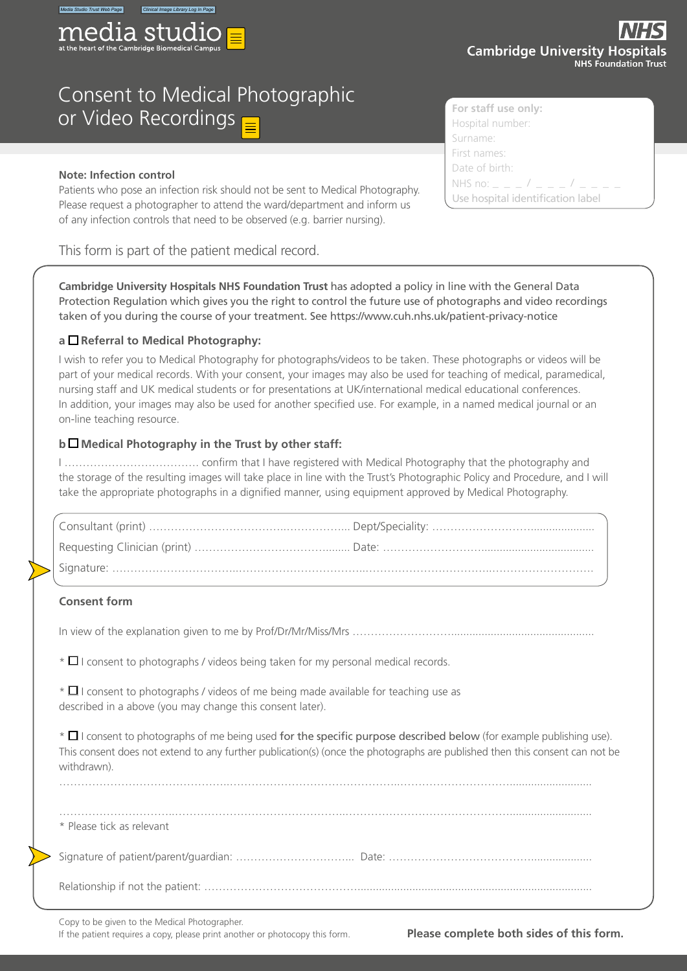

# Consent to Medical Photographic **or Video Recordings**

#### **Note: Infection control**

Patients who pose an infection risk should not be sent to Medical Photography. Please request a photographer to attend the ward/department and inform us of any infection controls that need to be observed (e.g. barrier nursing).

This form is part of the patient medical record.

**Cambridge University Hospitals NHS Foundation Trust** has adopted a policy in line with the General Data Protection Regulation which gives you the right to control the future use of photographs and video recordings taken of you during the course of your treatment. See https://www.cuh.nhs.uk/patient-privacy-notice

## **a Referral to Medical Photography:**

I wish to refer you to Medical Photography for photographs/videos to be taken. These photographs or videos will be part of your medical records. With your consent, your images may also be used for teaching of medical, paramedical, nursing staff and UK medical students or for presentations at UK/international medical educational conferences. In addition, your images may also be used for another specified use. For example, in a named medical journal or an on-line teaching resource.

## **b Medical Photography in the Trust by other staff:**

I ………………………………. confirm that I have registered with Medical Photography that the photography and the storage of the resulting images will take place in line with the Trust's Photographic Policy and Procedure, and I will take the appropriate photographs in a dignified manner, using equipment approved by Medical Photography.

#### **Consent form**

In view of the explanation given to me by Prof/Dr/Mr/Miss/Mrs ………………………...............................................

 $*$   $\Box$  I consent to photographs / videos being taken for my personal medical records.

 $*$   $\Box$  I consent to photographs / videos of me being made available for teaching use as described in a above (you may change this consent later).

 $*$   $\Box$  I consent to photographs of me being used for the specific purpose described below (for example publishing use). This consent does not extend to any further publication(s) (once the photographs are published then this consent can not be withdrawn).

| * Please tick as relevant |  |
|---------------------------|--|
|                           |  |
|                           |  |

………………………………………..………………………………………..…………………………...........................

Copy to be given to the Medical Photographer.

If the patient requires a copy, please print another or photocopy this form. **Please complete both sides of this form.**



| Calibridge University Hospita | <b>NHS Foundation Tr</b> |
|-------------------------------|--------------------------|
| or staff use only:            |                          |
| ospital number:               |                          |

Hospital number: Surname: First names: Date of birth: NHS no:  $_{-}$   $_{-}$   $_{-}$  /  $_{-}$ Use hospital identification label